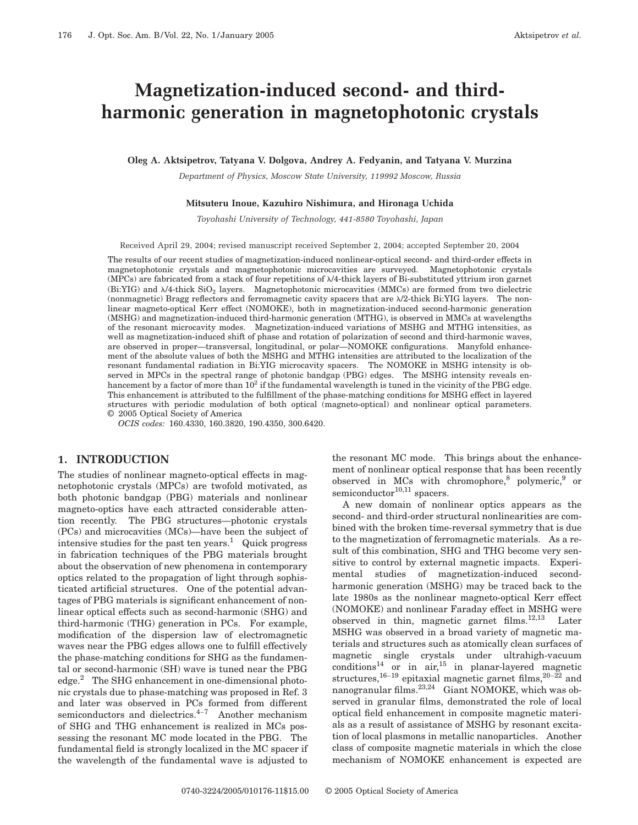# **Magnetization-induced second- and thirdharmonic generation in magnetophotonic crystals**

**Oleg A. Aktsipetrov, Tatyana V. Dolgova, Andrey A. Fedyanin, and Tatyana V. Murzina**

*Department of Physics, Moscow State University, 119992 Moscow, Russia*

#### **Mitsuteru Inoue, Kazuhiro Nishimura, and Hironaga Uchida**

*Toyohashi University of Technology, 441-8580 Toyohashi, Japan*

Received April 29, 2004; revised manuscript received September 2, 2004; accepted September 20, 2004

The results of our recent studies of magnetization-induced nonlinear-optical second- and third-order effects in magnetophotonic crystals and magnetophotonic microcavities are surveyed. Magnetophotonic crystals (MPCs) are fabricated from a stack of four repetitions of  $\lambda/4$ -thick layers of Bi-substituted yttrium iron garnet  $(Bi:YIG)$  and  $\lambda/4$ -thick  $SiO<sub>2</sub>$  layers. Magnetophotonic microcavities (MMCs) are formed from two dielectric (nonmagnetic) Bragg reflectors and ferromagnetic cavity spacers that are  $\lambda/2$ -thick Bi:YIG layers. The nonlinear magneto-optical Kerr effect (NOMOKE), both in magnetization-induced second-harmonic generation (MSHG) and magnetization-induced third-harmonic generation (MTHG), is observed in MMCs at wavelengths of the resonant microcavity modes. Magnetization-induced variations of MSHG and MTHG intensities, as well as magnetization-induced shift of phase and rotation of polarization of second and third-harmonic waves, are observed in proper—transversal, longitudinal, or polar—NOMOKE configurations. Manyfold enhancement of the absolute values of both the MSHG and MTHG intensities are attributed to the localization of the resonant fundamental radiation in Bi:YIG microcavity spacers. The NOMOKE in MSHG intensity is observed in MPCs in the spectral range of photonic bandgap (PBG) edges. The MSHG intensity reveals enhancement by a factor of more than  $10^2$  if the fundamental wavelength is tuned in the vicinity of the PBG edge. This enhancement is attributed to the fulfillment of the phase-matching conditions for MSHG effect in layered structures with periodic modulation of both optical (magneto-optical) and nonlinear optical parameters. © 2005 Optical Society of America

*OCIS codes:* 160.4330, 160.3820, 190.4350, 300.6420.

#### **1. INTRODUCTION**

The studies of nonlinear magneto-optical effects in magnetophotonic crystals (MPCs) are twofold motivated, as both photonic bandgap (PBG) materials and nonlinear magneto-optics have each attracted considerable attention recently. The PBG structures—photonic crystals (PCs) and microcavities (MCs)—have been the subject of intensive studies for the past ten years.<sup>1</sup> Quick progress in fabrication techniques of the PBG materials brought about the observation of new phenomena in contemporary optics related to the propagation of light through sophisticated artificial structures. One of the potential advantages of PBG materials is significant enhancement of nonlinear optical effects such as second-harmonic (SHG) and third-harmonic (THG) generation in PCs. For example, modification of the dispersion law of electromagnetic waves near the PBG edges allows one to fulfill effectively the phase-matching conditions for SHG as the fundamental or second-harmonic (SH) wave is tuned near the PBG edge.2 The SHG enhancement in one-dimensional photonic crystals due to phase-matching was proposed in Ref. 3 and later was observed in PCs formed from different semiconductors and dielectrics.<sup>4-7</sup> Another mechanism of SHG and THG enhancement is realized in MCs possessing the resonant MC mode located in the PBG. The fundamental field is strongly localized in the MC spacer if the wavelength of the fundamental wave is adjusted to

the resonant MC mode. This brings about the enhancement of nonlinear optical response that has been recently observed in MCs with chromophore, $8$  polymeric, $9$  or semiconductor $10,11$  spacers.

A new domain of nonlinear optics appears as the second- and third-order structural nonlinearities are combined with the broken time-reversal symmetry that is due to the magnetization of ferromagnetic materials. As a result of this combination, SHG and THG become very sensitive to control by external magnetic impacts. Experimental studies of magnetization-induced secondharmonic generation (MSHG) may be traced back to the late 1980s as the nonlinear magneto-optical Kerr effect (NOMOKE) and nonlinear Faraday effect in MSHG were observed in thin, magnetic garnet films.12,13 Later MSHG was observed in a broad variety of magnetic materials and structures such as atomically clean surfaces of magnetic single crystals under ultrahigh-vacuum  $conditions^{14}$  or in air,<sup>15</sup> in planar-layered magnetic structures,<sup>16-19</sup> epitaxial magnetic garnet films,<sup>20-22</sup> and nanogranular films.23,24 Giant NOMOKE, which was observed in granular films, demonstrated the role of local optical field enhancement in composite magnetic materials as a result of assistance of MSHG by resonant excitation of local plasmons in metallic nanoparticles. Another class of composite magnetic materials in which the close mechanism of NOMOKE enhancement is expected are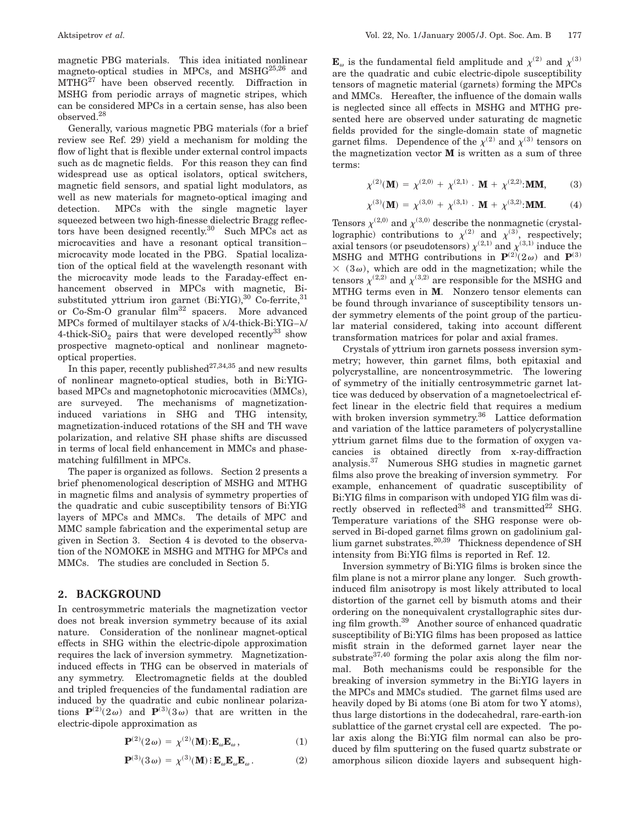magnetic PBG materials. This idea initiated nonlinear magneto-optical studies in MPCs, and MSH $G^{25,26}$  and  $MTHG^{27}$  have been observed recently. Diffraction in MSHG from periodic arrays of magnetic stripes, which can be considered MPCs in a certain sense, has also been observed.28

Generally, various magnetic PBG materials (for a brief review see Ref. 29) yield a mechanism for molding the flow of light that is flexible under external control impacts such as dc magnetic fields. For this reason they can find widespread use as optical isolators, optical switchers, magnetic field sensors, and spatial light modulators, as well as new materials for magneto-optical imaging and detection. MPCs with the single magnetic layer squeezed between two high-finesse dielectric Bragg reflectors have been designed recently.<sup>30</sup> Such MPCs act as microcavities and have a resonant optical transition– microcavity mode located in the PBG. Spatial localization of the optical field at the wavelength resonant with the microcavity mode leads to the Faraday-effect enhancement observed in MPCs with magnetic, Bisubstituted yttrium iron garnet  $(Bi:YIG),^{30}$  Co-ferrite,  $^{31}$ or Co-Sm-O granular film<sup>32</sup> spacers. More advanced MPCs formed of multilayer stacks of  $\lambda/4$ -thick-Bi:YIG– $\lambda$ / 4-thick-SiO<sub>2</sub> pairs that were developed recently<sup>33</sup> show prospective magneto-optical and nonlinear magnetooptical properties.

In this paper, recently published<sup>27,34,35</sup> and new results of nonlinear magneto-optical studies, both in Bi:YIGbased MPCs and magnetophotonic microcavities (MMCs), are surveyed. The mechanisms of magnetizationinduced variations in SHG and THG intensity, magnetization-induced rotations of the SH and TH wave polarization, and relative SH phase shifts are discussed in terms of local field enhancement in MMCs and phasematching fulfillment in MPCs.

The paper is organized as follows. Section 2 presents a brief phenomenological description of MSHG and MTHG in magnetic films and analysis of symmetry properties of the quadratic and cubic susceptibility tensors of Bi:YIG layers of MPCs and MMCs. The details of MPC and MMC sample fabrication and the experimental setup are given in Section 3. Section 4 is devoted to the observation of the NOMOKE in MSHG and MTHG for MPCs and MMCs. The studies are concluded in Section 5.

#### **2. BACKGROUND**

In centrosymmetric materials the magnetization vector does not break inversion symmetry because of its axial nature. Consideration of the nonlinear magnet-optical effects in SHG within the electric-dipole approximation requires the lack of inversion symmetry. Magnetizationinduced effects in THG can be observed in materials of any symmetry. Electromagnetic fields at the doubled and tripled frequencies of the fundamental radiation are induced by the quadratic and cubic nonlinear polarizations  $P^{(2)}(2\omega)$  and  $P^{(3)}(3\omega)$  that are written in the electric-dipole approximation as

$$
\mathbf{P}^{(2)}(2\omega) = \chi^{(2)}(\mathbf{M}); \mathbf{E}_{\omega}\mathbf{E}_{\omega}, \qquad (1)
$$

$$
\mathbf{P}^{(3)}(3\omega) = \chi^{(3)}(\mathbf{M}) \, \mathbf{E}_{\omega} \mathbf{E}_{\omega} \mathbf{E}_{\omega} . \tag{2}
$$

 $\mathbf{E}_{\omega}$  is the fundamental field amplitude and  $\chi^{(2)}$  and  $\chi^{(3)}$ are the quadratic and cubic electric-dipole susceptibility tensors of magnetic material (garnets) forming the MPCs and MMCs. Hereafter, the influence of the domain walls is neglected since all effects in MSHG and MTHG presented here are observed under saturating dc magnetic fields provided for the single-domain state of magnetic garnet films. Dependence of the  $\chi^{(2)}$  and  $\chi^{(3)}$  tensors on the magnetization vector **M** is written as a sum of three terms:

$$
\chi^{(2)}(\mathbf{M}) = \chi^{(2,0)} + \chi^{(2,1)} \cdot \mathbf{M} + \chi^{(2,2)} \cdot \mathbf{M} \mathbf{M}, \tag{3}
$$

$$
\chi^{(3)}(\mathbf{M}) = \chi^{(3,0)} + \chi^{(3,1)} \cdot \mathbf{M} + \chi^{(3,2)} \cdot \mathbf{M} \mathbf{M}.
$$
 (4)

Tensors  $\chi^{(2,0)}$  and  $\chi^{(3,0)}$  describe the nonmagnetic (crystallographic) contributions to  $\chi^{(2)}$  and  $\chi^{(3)}$ , respectively; axial tensors (or pseudotensors)  $\chi^{(2,1)}$  and  $\chi^{(3,1)}$  induce the MSHG and MTHG contributions in  $P^{(2)}(2\omega)$  and  $P^{(3)}$  $\times$  (3 $\omega$ ), which are odd in the magnetization; while the tensors  $\chi^{(2,2)}$  and  $\chi^{(3,2)}$  are responsible for the MSHG and MTHG terms even in **M**. Nonzero tensor elements can be found through invariance of susceptibility tensors under symmetry elements of the point group of the particular material considered, taking into account different transformation matrices for polar and axial frames.

Crystals of yttrium iron garnets possess inversion symmetry; however, thin garnet films, both epitaxial and polycrystalline, are noncentrosymmetric. The lowering of symmetry of the initially centrosymmetric garnet lattice was deduced by observation of a magnetoelectrical effect linear in the electric field that requires a medium with broken inversion symmetry.<sup>36</sup> Lattice deformation and variation of the lattice parameters of polycrystalline yttrium garnet films due to the formation of oxygen vacancies is obtained directly from x-ray-diffraction analysis.37 Numerous SHG studies in magnetic garnet films also prove the breaking of inversion symmetry. For example, enhancement of quadratic susceptibility of Bi:YIG films in comparison with undoped YIG film was directly observed in reflected<sup>38</sup> and transmitted<sup>22</sup> SHG. Temperature variations of the SHG response were observed in Bi-doped garnet films grown on gadolinium gallium garnet substrates.20,39 Thickness dependence of SH intensity from Bi:YIG films is reported in Ref. 12.

Inversion symmetry of Bi:YIG films is broken since the film plane is not a mirror plane any longer. Such growthinduced film anisotropy is most likely attributed to local distortion of the garnet cell by bismuth atoms and their ordering on the nonequivalent crystallographic sites during film growth.39 Another source of enhanced quadratic susceptibility of Bi:YIG films has been proposed as lattice misfit strain in the deformed garnet layer near the substrate $37,40$  forming the polar axis along the film normal. Both mechanisms could be responsible for the breaking of inversion symmetry in the Bi:YIG layers in the MPCs and MMCs studied. The garnet films used are heavily doped by Bi atoms (one Bi atom for two Y atoms), thus large distortions in the dodecahedral, rare-earth-ion sublattice of the garnet crystal cell are expected. The polar axis along the Bi:YIG film normal can also be produced by film sputtering on the fused quartz substrate or amorphous silicon dioxide layers and subsequent high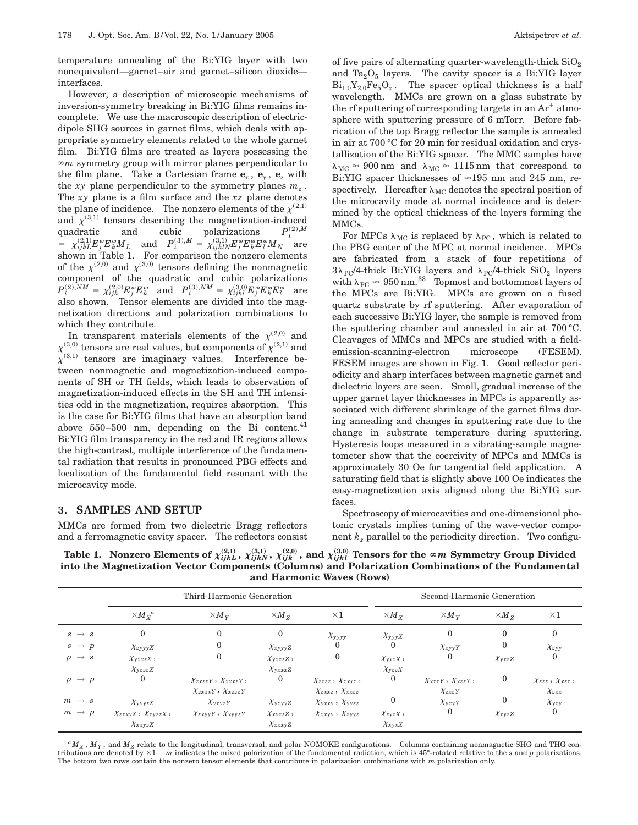temperature annealing of the Bi:YIG layer with two nonequivalent—garnet–air and garnet–silicon dioxide interfaces.

However, a description of microscopic mechanisms of inversion-symmetry breaking in Bi:YIG films remains incomplete. We use the macroscopic description of electricdipole SHG sources in garnet films, which deals with appropriate symmetry elements related to the whole garnet film. Bi:YIG films are treated as layers possessing the  $\infty$ *m* symmetry group with mirror planes perpendicular to the film plane. Take a Cartesian frame  $\mathbf{e}_x$ ,  $\mathbf{e}_y$ ,  $\mathbf{e}_z$  with the *xy* plane perpendicular to the symmetry planes  $m_z$ . The *xy* plane is a film surface and the *xz* plane denotes the plane of incidence. The nonzero elements of the  $\chi^{(2,1)}$ and  $\chi^{(3,1)}$  tensors describing the magnetization-induced quadratic and cubic polarizations  $P_i^{(2),M}$  $\mathcal{L} = \chi^{(2,1)}_{ijkL} E_j^{\omega} E_k^{\omega} M_L \quad \text{and} \quad P_i^{(3),M} = \chi^{(3,1)}_{ijklN} E_j^{\omega} E_k^{\omega} E_l^{\omega} M_N \quad \text{are}$ shown in Table 1. For comparison the nonzero elements of the  $\chi^{(2,0)}$  and  $\chi^{(3,0)}$  tensors defining the nonmagnetic component of the quadratic and cubic polarizations  $P_i^{(2),NM} = \chi_{ijk}^{(2,0)}E_j^{\omega}E_k^{\omega} \quad \text{and} \quad P_i^{(3),NM} = \chi_{ijkl}^{(3,0)}E_j^{\omega}E_k^{\omega}E_l^{\omega} \quad \text{are}$ also shown. Tensor elements are divided into the magnetization directions and polarization combinations to which they contribute.

In transparent materials elements of the  $\chi^{(2,0)}$  and  $\chi^{(3,0)}$  tensors are real values, but components of  $\chi^{(2,1)}$  and  $\chi^{(3,1)}$  tensors are imaginary values. Interference between nonmagnetic and magnetization-induced components of SH or TH fields, which leads to observation of magnetization-induced effects in the SH and TH intensities odd in the magnetization, requires absorption. This is the case for Bi:YIG films that have an absorption band above  $550-500$  nm, depending on the Bi content.<sup>41</sup> Bi:YIG film transparency in the red and IR regions allows the high-contrast, multiple interference of the fundamental radiation that results in pronounced PBG effects and localization of the fundamental field resonant with the microcavity mode.

## **3. SAMPLES AND SETUP**

MMCs are formed from two dielectric Bragg reflectors and a ferromagnetic cavity spacer. The reflectors consist of five pairs of alternating quarter-wavelength-thick  $SiO<sub>2</sub>$ and  $Ta_2O_5$  layers. The cavity spacer is a Bi:YIG layer  $Bi_{1.0}Y_{2.0}Fe_{5}O_{x}$ . The spacer optical thickness is a half wavelength. MMCs are grown on a glass substrate by the rf sputtering of corresponding targets in an  $Ar^+$  atmosphere with sputtering pressure of 6 mTorr. Before fabrication of the top Bragg reflector the sample is annealed in air at 700 °C for 20 min for residual oxidation and crystallization of the Bi:YIG spacer. The MMC samples have  $\lambda_{MC} \approx 900$  nm and  $\lambda_{MC} \approx 1115$  nm that correspond to Bi:YIG spacer thicknesses of  $\approx$ 195 nm and 245 nm, respectively. Hereafter  $\lambda_{MC}$  denotes the spectral position of the microcavity mode at normal incidence and is determined by the optical thickness of the layers forming the MMCs.

For MPCs  $\lambda_{MC}$  is replaced by  $\lambda_{PC}$ , which is related to the PBG center of the MPC at normal incidence. MPCs are fabricated from a stack of four repetitions of  $3\lambda_{\text{PC}}/4$ -thick Bi:YIG layers and  $\lambda_{\text{PC}}/4$ -thick SiO<sub>2</sub> layers with  $\lambda_{PC} \approx 950$  nm.<sup>33</sup> Topmost and bottommost layers of the MPCs are Bi:YIG. MPCs are grown on a fused quartz substrate by rf sputtering. After evaporation of each successive Bi:YIG layer, the sample is removed from the sputtering chamber and annealed in air at 700 °C. Cleavages of MMCs and MPCs are studied with a fieldemission-scanning-electron microscope (FESEM). FESEM images are shown in Fig. 1. Good reflector periodicity and sharp interfaces between magnetic garnet and dielectric layers are seen. Small, gradual increase of the upper garnet layer thicknesses in MPCs is apparently associated with different shrinkage of the garnet films during annealing and changes in sputtering rate due to the change in substrate temperature during sputtering. Hysteresis loops measured in a vibrating-sample magnetometer show that the coercivity of MPCs and MMCs is approximately 30 Oe for tangential field application. A saturating field that is slightly above 100 Oe indicates the easy-magnetization axis aligned along the Bi:YIG surfaces.

Spectroscopy of microcavities and one-dimensional photonic crystals implies tuning of the wave-vector component  $k_z$  parallel to the periodicity direction. Two configu-

Table 1. Nonzero Elements of  $\chi^{(2,1)}_{ijkL},~\chi^{(3,1)}_{ijkN},~\chi^{(2,0)}_{ijk}$  , and  $\chi^{(3,0)}_{ijkl}$  Tensors for the  $\infty$ *m* Symmetry Group Divided **into the Magnetization Vector Components (Columns) and Polarization Combinations of the Fundamental and Harmonic Waves (Rows)**

|                   | Third-Harmonic Generation                        |                               |                        |                                             | Second-Harmonic Generation         |                             |                  |                               |
|-------------------|--------------------------------------------------|-------------------------------|------------------------|---------------------------------------------|------------------------------------|-----------------------------|------------------|-------------------------------|
|                   | $\times {M}_{\textstyle \scriptscriptstyle X}^a$ | $\times M_{Y}$                | $\times M_{Z}$         | $\times 1$                                  | $\times M_{\scriptscriptstyle{X}}$ | $\times M_{\rm v}$          | $\times M_{Z}$   | $\times 1$                    |
| $s \rightarrow s$ | $\left($                                         | 0                             | $\Omega$               | $\chi_{y y y y}$                            | $\chi_{\rm yyX}$                   | $\mathbf{0}$                | $\Omega$         | $\Omega$                      |
| $s \rightarrow p$ | $\chi_{zyyyX}$                                   | $\Omega$                      | $\chi_{xyyyZ}$         | 0                                           | $\bf{0}$                           | $\chi_{xyyY}$               | $\theta$         | $\chi_{zyy}$                  |
| $p \rightarrow s$ | $\chi_{\text{yxxzX}}$ ,                          | $\Omega$                      | $\chi_{\text{v}zzz}$ , | $\bf{0}$                                    | $\chi_{\text{vxxX}}$ ,             | $\boldsymbol{0}$            | $\chi_{y x z Z}$ |                               |
|                   | $\chi_{\nu z z z X}$                             |                               | $\chi_{\rm{vxxzZ}}$    |                                             | $\chi_{yzzX}$                      |                             |                  |                               |
| $p \rightarrow p$ | $\mathbf{0}$                                     | $\chi_{zxzzY}, \chi_{xxxzY},$ | $\bf{0}$               | $\chi_{zzzz}$ , $\chi_{xxxx}$ ,             | $\bf{0}$                           | $\chi_{xxxY}, \chi_{xzzY},$ | $\bf{0}$         | $\chi_{zzz}$ , $\chi_{xzx}$ , |
|                   |                                                  | $\chi_{zxxxY}, \chi_{xzzzY}$  |                        | $\chi_{zxxz}$ , $\chi_{x x z z}$            |                                    | $\chi_{zxzY}$               |                  | $\chi_{zxx}$                  |
| $m \rightarrow s$ | $\chi_{yyyzX}$                                   | $\chi_{\nu x \nu z}$ Y        | $\chi_{yxyyZ}$         | $\chi_{\text{vxxy}}$ , $\chi_{\text{vvzz}}$ | $\bf{0}$                           | $\chi_{yxyY}$               | $\mathbf{0}$     | $\chi_{yzy}$                  |
| $m \rightarrow p$ | $\chi_{zxxyX}, \chi_{xyzzX},$                    | $\chi_{zxyyY}, \chi_{xyyzY}$  | $\chi_{xyzzZ}$ ,       | $\chi_{xxyy}$ , $\chi_{zyyz}$               | $\chi_{zyzX}$ ,                    | $\mathbf 0$                 | $\chi_{xyzZ}$    |                               |
|                   | $\chi_{xxyzX}$                                   |                               | $\chi_{xxxyZ}$         |                                             | $\chi_{xyxX}$                      |                             |                  |                               |

 $^{a}M_{X}$ ,  $M_{Y}$ , and  $M_{Z}$  relate to the longitudinal, transversal, and polar NOMOKE configurations. Columns containing nonmagnetic SHG and THG contributions are denoted by 31. *m* indicates the mixed polarization of the fundamental radiation, which is 45°-rotated relative to the *s* and *p* polarizations. The bottom two rows contain the nonzero tensor elements that contribute in polarization combinations with *m* polarization only.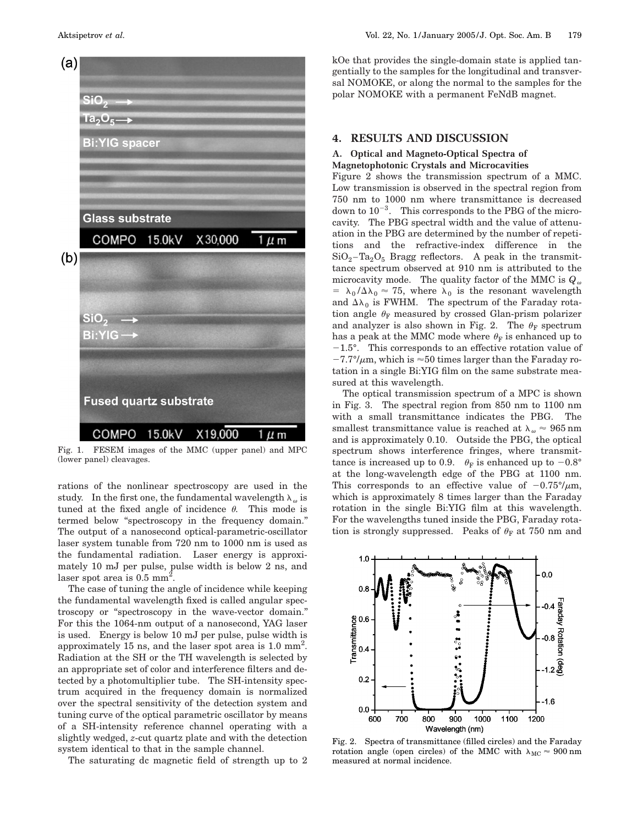

Fig. 1. FESEM images of the MMC (upper panel) and MPC (lower panel) cleavages.

rations of the nonlinear spectroscopy are used in the study. In the first one, the fundamental wavelength  $\lambda_{\omega}$  is tuned at the fixed angle of incidence  $\theta$ . This mode is termed below ''spectroscopy in the frequency domain.'' The output of a nanosecond optical-parametric-oscillator laser system tunable from 720 nm to 1000 nm is used as the fundamental radiation. Laser energy is approximately 10 mJ per pulse, pulse width is below 2 ns, and laser spot area is  $0.5$  mm<sup>2</sup>.

The case of tuning the angle of incidence while keeping the fundamental wavelength fixed is called angular spectroscopy or ''spectroscopy in the wave-vector domain.'' For this the 1064-nm output of a nanosecond, YAG laser is used. Energy is below 10 mJ per pulse, pulse width is approximately 15 ns, and the laser spot area is 1.0 mm<sup>2</sup>. Radiation at the SH or the TH wavelength is selected by an appropriate set of color and interference filters and detected by a photomultiplier tube. The SH-intensity spectrum acquired in the frequency domain is normalized over the spectral sensitivity of the detection system and tuning curve of the optical parametric oscillator by means of a SH-intensity reference channel operating with a slightly wedged, *z*-cut quartz plate and with the detection system identical to that in the sample channel.

The saturating dc magnetic field of strength up to 2

kOe that provides the single-domain state is applied tangentially to the samples for the longitudinal and transversal NOMOKE, or along the normal to the samples for the polar NOMOKE with a permanent FeNdB magnet.

### **4. RESULTS AND DISCUSSION**

#### **A. Optical and Magneto-Optical Spectra of Magnetophotonic Crystals and Microcavities**

Figure 2 shows the transmission spectrum of a MMC. Low transmission is observed in the spectral region from 750 nm to 1000 nm where transmittance is decreased down to  $10^{-3}$ . This corresponds to the PBG of the microcavity. The PBG spectral width and the value of attenuation in the PBG are determined by the number of repetitions and the refractive-index difference in the  $SiO<sub>2</sub> - Ta<sub>2</sub>O<sub>5</sub>$  Bragg reflectors. A peak in the transmittance spectrum observed at 910 nm is attributed to the microcavity mode. The quality factor of the MMC is  $Q_{\omega}$ =  $\lambda_0 / \Delta \lambda_0 \approx 75$ , where  $\lambda_0$  is the resonant wavelength and  $\Delta\lambda_0$  is FWHM. The spectrum of the Faraday rotation angle  $\theta_F$  measured by crossed Glan-prism polarizer and analyzer is also shown in Fig. 2. The  $\theta_F$  spectrum has a peak at the MMC mode where  $\theta_F$  is enhanced up to  $-1.5^{\circ}$ . This corresponds to an effective rotation value of  $-7.7^{\circ}/\mu$ m, which is  $\approx$  50 times larger than the Faraday rotation in a single Bi:YIG film on the same substrate measured at this wavelength.

The optical transmission spectrum of a MPC is shown in Fig. 3. The spectral region from 850 nm to 1100 nm with a small transmittance indicates the PBG. The smallest transmittance value is reached at  $\lambda_{\omega} \approx 965$  nm and is approximately 0.10. Outside the PBG, the optical spectrum shows interference fringes, where transmittance is increased up to 0.9.  $\theta_F$  is enhanced up to -0.8° at the long-wavelength edge of the PBG at 1100 nm. This corresponds to an effective value of  $-0.75^{\circ}/\mu$ m, which is approximately 8 times larger than the Faraday rotation in the single Bi:YIG film at this wavelength. For the wavelengths tuned inside the PBG, Faraday rotation is strongly suppressed. Peaks of  $\theta_F$  at 750 nm and



Fig. 2. Spectra of transmittance (filled circles) and the Faraday rotation angle (open circles) of the MMC with  $\lambda_{\rm MC}\approx 900\,{\rm nm}$ measured at normal incidence.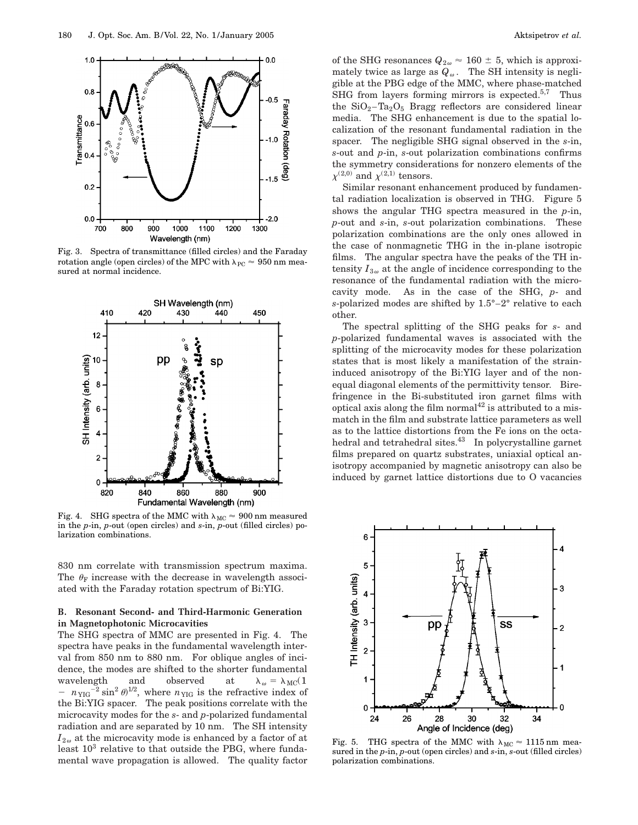

Fig. 3. Spectra of transmittance (filled circles) and the Faraday rotation angle (open circles) of the MPC with  $\lambda_{PC} \approx 950$  nm measured at normal incidence.



Fig. 4. SHG spectra of the MMC with  $\lambda_{MC} \approx 900$  nm measured in the *p*-in, *p*-out (open circles) and *s*-in, *p*-out (filled circles) polarization combinations.

830 nm correlate with transmission spectrum maxima. The  $\theta_F$  increase with the decrease in wavelength associated with the Faraday rotation spectrum of Bi:YIG.

#### **B. Resonant Second- and Third-Harmonic Generation in Magnetophotonic Microcavities**

The SHG spectra of MMC are presented in Fig. 4. The spectra have peaks in the fundamental wavelength interval from 850 nm to 880 nm. For oblique angles of incidence, the modes are shifted to the shorter fundamental wavelength and observed at  $\lambda_{\omega} = \lambda_{\text{MC}}(1$  $- n_{YIG}^{-2} \sin^2 \theta^{1/2}$ , where  $n_{YIG}$  is the refractive index of the Bi:YIG spacer. The peak positions correlate with the microcavity modes for the *s*- and *p*-polarized fundamental radiation and are separated by 10 nm. The SH intensity  $I_{2\omega}$  at the microcavity mode is enhanced by a factor of at least  $10^3$  relative to that outside the PBG, where fundamental wave propagation is allowed. The quality factor of the SHG resonances  $Q_{2\omega} \approx 160 \pm 5$ , which is approximately twice as large as  $Q_{\omega}$ . The SH intensity is negligible at the PBG edge of the MMC, where phase-matched SHG from layers forming mirrors is expected.<sup>5,7</sup> Thus the  $SiO_2$ -Ta<sub>2</sub>O<sub>5</sub> Bragg reflectors are considered linear media. The SHG enhancement is due to the spatial localization of the resonant fundamental radiation in the spacer. The negligible SHG signal observed in the *s*-in, *s*-out and *p*-in, *s*-out polarization combinations confirms the symmetry considerations for nonzero elements of the  $\chi^{(2,0)}$  and  $\chi^{(2,1)}$  tensors.

Similar resonant enhancement produced by fundamental radiation localization is observed in THG. Figure 5 shows the angular THG spectra measured in the *p*-in, *p*-out and *s*-in, *s*-out polarization combinations. These polarization combinations are the only ones allowed in the case of nonmagnetic THG in the in-plane isotropic films. The angular spectra have the peaks of the TH intensity  $I_{3\omega}$  at the angle of incidence corresponding to the resonance of the fundamental radiation with the microcavity mode. As in the case of the SHG, *p*- and *s*-polarized modes are shifted by 1.5°–2° relative to each other.

The spectral splitting of the SHG peaks for *s*- and *p*-polarized fundamental waves is associated with the splitting of the microcavity modes for these polarization states that is most likely a manifestation of the straininduced anisotropy of the Bi:YIG layer and of the nonequal diagonal elements of the permittivity tensor. Birefringence in the Bi-substituted iron garnet films with optical axis along the film normal<sup>42</sup> is attributed to a mismatch in the film and substrate lattice parameters as well as to the lattice distortions from the Fe ions on the octahedral and tetrahedral sites.<sup>43</sup> In polycrystalline garnet films prepared on quartz substrates, uniaxial optical anisotropy accompanied by magnetic anisotropy can also be induced by garnet lattice distortions due to O vacancies



Fig. 5. THG spectra of the MMC with  $\lambda_{MC} \approx 1115$  nm measured in the *p*-in, *p*-out (open circles) and *s*-in, *s*-out (filled circles) polarization combinations.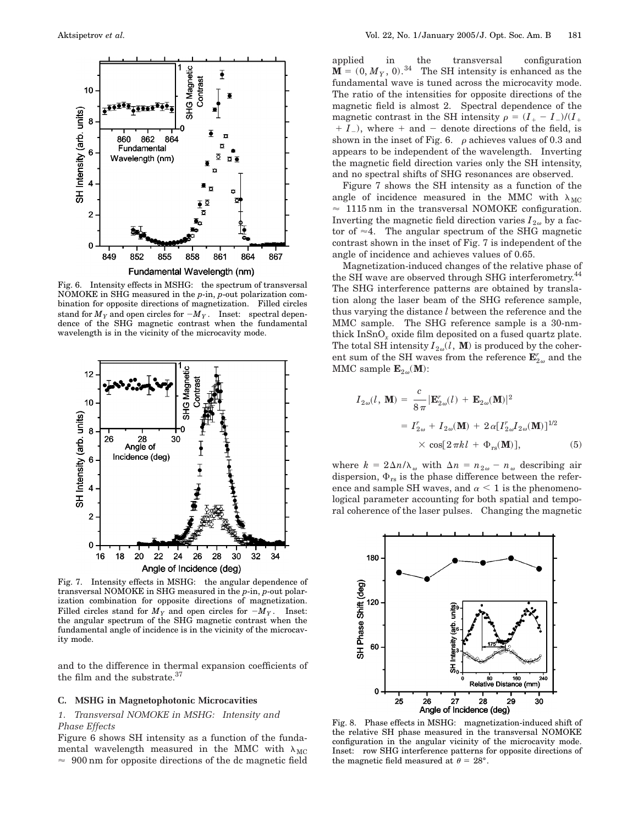

Fig. 6. Intensity effects in MSHG: the spectrum of transversal NOMOKE in SHG measured in the *p*-in, *p*-out polarization combination for opposite directions of magnetization. Filled circles stand for  $M_Y$  and open circles for  $-M_Y\,.$  Inset: spectral dependence of the SHG magnetic contrast when the fundamental wavelength is in the vicinity of the microcavity mode.



Fig. 7. Intensity effects in MSHG: the angular dependence of transversal NOMOKE in SHG measured in the *p*-in, *p*-out polarization combination for opposite directions of magnetization. Filled circles stand for  $M_Y$  and open circles for  $-M_Y$ . Inset: the angular spectrum of the SHG magnetic contrast when the fundamental angle of incidence is in the vicinity of the microcavity mode.

and to the difference in thermal expansion coefficients of the film and the substrate.<sup>37</sup>

#### **C. MSHG in Magnetophotonic Microcavities**

### *1. Transversal NOMOKE in MSHG: Intensity and Phase Effects*

Figure 6 shows SH intensity as a function of the fundamental wavelength measured in the MMC with  $\lambda_{MC}$  $\approx$  900 nm for opposite directions of the dc magnetic field applied in the transversal configuration  $\mathbf{M} = (0, M_Y, 0)^{34}$  The SH intensity is enhanced as the The SH intensity is enhanced as the fundamental wave is tuned across the microcavity mode. The ratio of the intensities for opposite directions of the magnetic field is almost 2. Spectral dependence of the magnetic contrast in the SH intensity  $\rho = (I_{+} - I_{-})/(I_{+})$  $+ I_{-}$ ), where  $+$  and  $-$  denote directions of the field, is shown in the inset of Fig. 6.  $\rho$  achieves values of 0.3 and appears to be independent of the wavelength. Inverting the magnetic field direction varies only the SH intensity, and no spectral shifts of SHG resonances are observed.

Figure 7 shows the SH intensity as a function of the angle of incidence measured in the MMC with  $\lambda_{MC}$  $\approx$  1115 nm in the transversal NOMOKE configuration. Inverting the magnetic field direction varies  $I_{2\omega}$  by a factor of  $\approx$  4. The angular spectrum of the SHG magnetic contrast shown in the inset of Fig. 7 is independent of the angle of incidence and achieves values of 0.65.

Magnetization-induced changes of the relative phase of the SH wave are observed through SHG interferometry.<sup>44</sup> The SHG interference patterns are obtained by translation along the laser beam of the SHG reference sample, thus varying the distance *l* between the reference and the MMC sample. The SHG reference sample is a 30-nmthick InSnO*<sup>x</sup>* oxide film deposited on a fused quartz plate. The total SH intensity  $I_{2\omega}(l, \mathbf{M})$  is produced by the coherent sum of the SH waves from the reference  $\mathbf{E}^r_{2\omega}$  and the MMC sample  $\mathbf{E}_{2\omega}(\mathbf{M})$ :

$$
I_{2\omega}(l, \mathbf{M}) = \frac{c}{8\pi} |\mathbf{E}_{2\omega}^r(l) + \mathbf{E}_{2\omega}(\mathbf{M})|^2
$$
  
=  $I_{2\omega}^r + I_{2\omega}(\mathbf{M}) + 2\alpha [I_{2\omega}^r I_{2\omega}(\mathbf{M})]^{1/2}$   
 $\times \cos[2\pi kl + \Phi_{rs}(\mathbf{M})],$  (5)

where  $k = 2\Delta n/\lambda_{\omega}$  with  $\Delta n = n_{2\omega} - n_{\omega}$  describing air dispersion,  $\Phi_{rs}$  is the phase difference between the reference and sample SH waves, and  $\alpha$  < 1 is the phenomenological parameter accounting for both spatial and temporal coherence of the laser pulses. Changing the magnetic



Fig. 8. Phase effects in MSHG: magnetization-induced shift of the relative SH phase measured in the transversal NOMOKE configuration in the angular vicinity of the microcavity mode. Inset: row SHG interference patterns for opposite directions of the magnetic field measured at  $\theta = 28^{\circ}$ .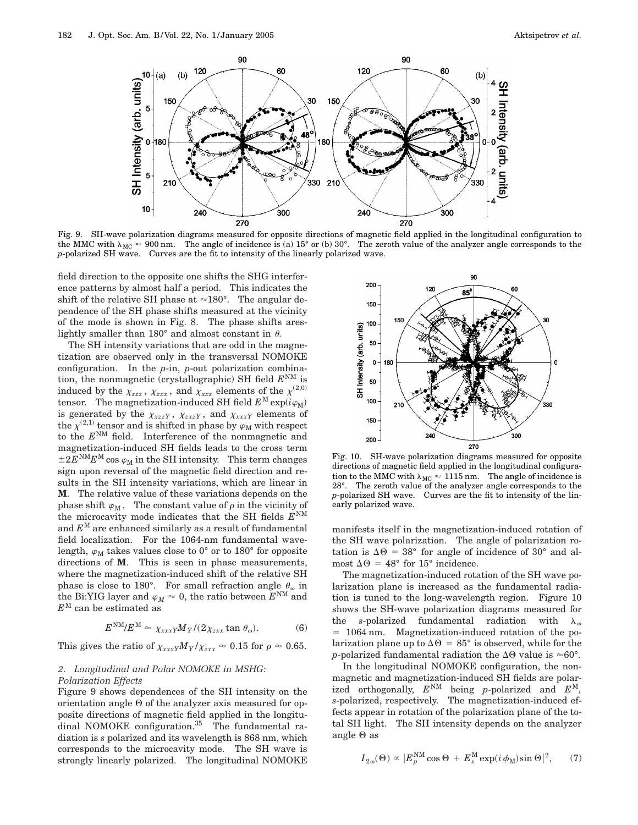

Fig. 9. SH-wave polarization diagrams measured for opposite directions of magnetic field applied in the longitudinal configuration to the MMC with  $\lambda_{MC} \approx 900$  nm. The angle of incidence is (a) 15° or (b) 30°. The zeroth value of the analyzer angle corresponds to the *p*-polarized SH wave. Curves are the fit to intensity of the linearly polarized wave.

field direction to the opposite one shifts the SHG interference patterns by almost half a period. This indicates the shift of the relative SH phase at  $\approx 180^\circ$ . The angular dependence of the SH phase shifts measured at the vicinity of the mode is shown in Fig. 8. The phase shifts areslightly smaller than 180 $^{\circ}$  and almost constant in  $\theta$ .

The SH intensity variations that are odd in the magnetization are observed only in the transversal NOMOKE configuration. In the *p*-in, *p*-out polarization combination, the nonmagnetic (crystallographic) SH field  $E<sup>NM</sup>$  is induced by the  $\chi_{zzz}$  ,  $\chi_{zxx}$  , and  $\chi_{xxz}$  elements of the  $\chi^{(2,0)}$ tensor. The magnetization-induced SH field  $E^{\text{M}}\exp(i\varphi_{\text{M}})$ is generated by the  $\chi_{xzzY}$ ,  $\chi_{zxzY}$ , and  $\chi_{xxxY}$  elements of the  $\chi^{(2,1)}$  tensor and is shifted in phase by  $\varphi_M$  with respect to the *E*NM field. Interference of the nonmagnetic and magnetization-induced SH fields leads to the cross term  $\pm 2E^{NM}E^{M}$  cos  $\varphi_M$  in the SH intensity. This term changes sign upon reversal of the magnetic field direction and results in the SH intensity variations, which are linear in **M**. The relative value of these variations depends on the phase shift  $\varphi_M$ . The constant value of  $\rho$  in the vicinity of the microcavity mode indicates that the SH fields  $E<sup>NM</sup>$ and  $E^M$  are enhanced similarly as a result of fundamental field localization. For the 1064-nm fundamental wavelength,  $\varphi_M$  takes values close to 0° or to 180° for opposite directions of **M**. This is seen in phase measurements, where the magnetization-induced shift of the relative SH phase is close to 180°. For small refraction angle  $\theta_{\omega}$  in the Bi:YIG layer and  $\varphi_M \approx 0$ , the ratio between  $E^{NM}$  and  $E^{\text{M}}$  can be estimated as

$$
E^{\text{NM}}/E^{\text{M}} \approx \chi_{xxx} M_Y / (2\chi_{zxx} \tan \theta_\omega). \tag{6}
$$

This gives the ratio of  $\chi_{xxx} M_Y/\chi_{zxx} \approx 0.15$  for  $\rho \approx 0.65$ .

## *2. Longitudinal and Polar NOMOKE in MSHG:*

#### *Polarization Effects*

Figure 9 shows dependences of the SH intensity on the orientation angle  $\Theta$  of the analyzer axis measured for opposite directions of magnetic field applied in the longitudinal NOMOKE configuration.<sup>35</sup> The fundamental radiation is *s* polarized and its wavelength is 868 nm, which corresponds to the microcavity mode. The SH wave is strongly linearly polarized. The longitudinal NOMOKE



Fig. 10. SH-wave polarization diagrams measured for opposite directions of magnetic field applied in the longitudinal configuration to the MMC with  $\lambda_{MC} \approx 1115$  nm. The angle of incidence is 28°. The zeroth value of the analyzer angle corresponds to the *p*-polarized SH wave. Curves are the fit to intensity of the linearly polarized wave.

manifests itself in the magnetization-induced rotation of the SH wave polarization. The angle of polarization rotation is  $\Delta\Theta = 38^{\circ}$  for angle of incidence of 30° and almost  $\Delta \Theta = 48^{\circ}$  for 15° incidence.

The magnetization-induced rotation of the SH wave polarization plane is increased as the fundamental radiation is tuned to the long-wavelength region. Figure 10 shows the SH-wave polarization diagrams measured for the *s*-polarized fundamental radiation with  $\lambda_{\omega}$  $= 1064$  nm. Magnetization-induced rotation of the polarization plane up to  $\Delta \Theta = 85^\circ$  is observed, while for the *p*-polarized fundamental radiation the  $\Delta\Theta$  value is  $\approx 60^{\circ}$ .

In the longitudinal NOMOKE configuration, the nonmagnetic and magnetization-induced SH fields are polarized orthogonally,  $E^{NM}$  being *p*-polarized and  $E^{M}$ , *s*-polarized, respectively. The magnetization-induced effects appear in rotation of the polarization plane of the total SH light. The SH intensity depends on the analyzer angle  $\Theta$  as

$$
I_{2\omega}(\Theta) \propto |E_p^{\text{NM}} \cos \Theta + E_s^{\text{M}} \exp(i \phi_{\text{M}}) \sin \Theta|^2, \quad (7)
$$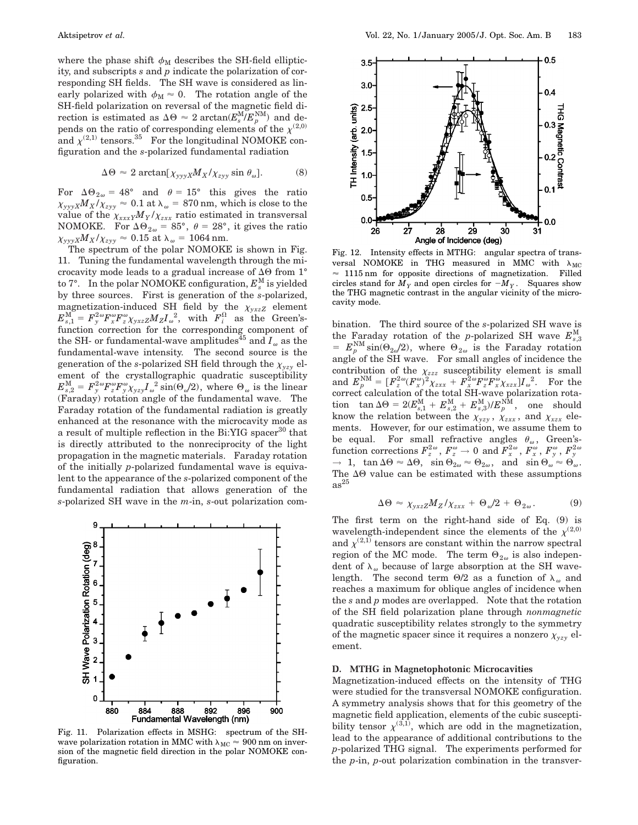where the phase shift  $\phi_M$  describes the SH-field ellipticity, and subscripts *s* and *p* indicate the polarization of corresponding SH fields. The SH wave is considered as linearly polarized with  $\phi_M \approx 0$ . The rotation angle of the SH-field polarization on reversal of the magnetic field direction is estimated as  $\Delta \Theta \approx 2 \arctan(E_s^{\rm M}/E_p^{\rm NM})$  and depends on the ratio of corresponding elements of the  $\chi^{(2,0)}$ and  $\chi^{(2,1)}$  tensors.<sup>35</sup> For the longitudinal NOMOKE configuration and the *s*-polarized fundamental radiation

$$
\Delta \Theta \approx 2 \arctan[\chi_{\text{yyX}} M_X/\chi_{\text{zyy}} \sin \theta_\omega]. \tag{8}
$$

For  $\Delta\Theta_{2\omega} = 48^\circ$  and  $\theta = 15^\circ$  this gives the ratio  $\chi_{\gamma\gamma\gamma X}M_X/\chi_{\gamma\gamma} \approx 0.1$  at  $\lambda_\omega = 870$  nm, which is close to the value of the  $\chi_{xxx} M_Y/\chi_{zxx}$  ratio estimated in transversal NOMOKE. For  $\Delta\Theta_{2\omega} = 85^\circ$ ,  $\theta = 28^\circ$ , it gives the ratio  $\chi_{\gamma\gamma\gamma X}M_X/\chi_{zyy} \approx 0.15$  at  $\lambda_\omega = 1064$  nm.

The spectrum of the polar NOMOKE is shown in Fig. 11. Tuning the fundamental wavelength through the microcavity mode leads to a gradual increase of  $\Delta\Theta$  from 1° to  $7^\circ$ . In the polar NOMOKE configuration,  $E_s^\text{M}$  is yielded by three sources. First is generation of the *s*-polarized, magnetization-induced SH field by the  $\chi_{yxzZ}$  element  $E_{s,1}^{\text{M}} = F_y^{2\omega} F_x^{\omega} F_z^{\omega} \chi_{y x z Z} M_Z I_{\omega}^{\quad 2}, \ \ \text{with} \ \ F_i^{\Omega} \ \ \text{as} \ \ \text{the} \ \ \text{Green's-}$ function correction for the corresponding component of the SH- or fundamental-wave amplitudes<sup>45</sup> and  $I_{\omega}$  as the fundamental-wave intensity. The second source is the generation of the *s*-polarized SH field through the  $\chi_{vzy}$  element of the crystallographic quadratic susceptibility  $E_{s,2}^{\rm M} = F_y^{2\omega} F_z^{\omega} F_{y}^{\omega} \chi_{yzy} I_{\omega}^{\ 2} \sin(\Theta_{\omega}/2),$  where  $\Theta_{\omega}$  is the linear (Faraday) rotation angle of the fundamental wave. The Faraday rotation of the fundamental radiation is greatly enhanced at the resonance with the microcavity mode as a result of multiple reflection in the Bi:YIG spacer<sup>30</sup> that is directly attributed to the nonreciprocity of the light propagation in the magnetic materials. Faraday rotation of the initially *p*-polarized fundamental wave is equivalent to the appearance of the *s*-polarized component of the fundamental radiation that allows generation of the *s*-polarized SH wave in the *m*-in, *s*-out polarization com-



Fig. 11. Polarization effects in MSHG: spectrum of the SHwave polarization rotation in MMC with  $\lambda_{MC} \approx 900$  nm on inversion of the magnetic field direction in the polar NOMOKE configuration.



Fig. 12. Intensity effects in MTHG: angular spectra of transversal NOMOKE in THG measured in MMC with  $\lambda_{MC}$  $\approx$  1115 nm for opposite directions of magnetization. Filled circles stand for  $M_Y$  and open circles for  $-M_Y$ . Squares show the THG magnetic contrast in the angular vicinity of the microcavity mode.

bination. The third source of the *s*-polarized SH wave is the Faraday rotation of the *p*-polarized SH wave  $E_{s,3}^{\text{M}}$  $E_P^{\text{NM}} \sin(\Theta_{2\omega}/2)$ , where  $\Theta_{2\omega}$  is the Faraday rotation angle of the SH wave. For small angles of incidence the contribution of the  $\chi_{zzz}$  susceptibility element is small  $\text{and}\,\, E_p^\text{NM}=[F_z^{2\,\omega}(F_x^\omega)^2\chi_{zxx}+F_x^{2\,\omega}F_z^\omega F_x^\omega\chi_{xzx}]I_\omega{}^2. \quad \text{For the}$ correct calculation of the total SH-wave polarization rota- $\textrm{tion \ \ } \tan \Delta \Theta = 2 (E_{s,1}^{\rm M} + E_{s,2}^{\rm M} + E_{s,3}^{\rm M})/E_{p}^{\rm NM}, \quad \textrm{one \ \ should}$ know the relation between the  $\chi_{yzy}$ ,  $\chi_{zxx}$ , and  $\chi_{xzx}$  elements. However, for our estimation, we assume them to be equal. For small refractive angles  $\theta_{\omega}$ , Green's- $\text{function corrections}~F_z^{2\omega} \text{, } F_z^{\omega} \rightarrow 0 \text{ and } F_x^{2\omega} \text{, } F_x^{\omega} \text{, } F_y^{\omega} \text{, } F_z^{\omega}$  $\rightarrow 1$ ,  $\tan \Delta \Theta \approx \Delta \Theta$ ,  $\sin \Theta_{2\omega} \approx \Theta_{2\omega}$ , and  $\sin \Theta_{\omega} \approx \Theta_{\omega}$ . The  $\Delta\Theta$  value can be estimated with these assumptions  $as^{25}$ 

$$
\Delta \Theta \approx \chi_{y x z Z} M_Z / \chi_{z x x} + \Theta_{\omega} / 2 + \Theta_{2\omega} . \tag{9}
$$

The first term on the right-hand side of Eq. (9) is wavelength-independent since the elements of the  $\chi^{(2,0)}$ and  $\chi^{(2,1)}$  tensors are constant within the narrow spectral region of the MC mode. The term  $\Theta_{2\omega}$  is also independent of  $\lambda_{\omega}$  because of large absorption at the SH wavelength. The second term  $\Theta/2$  as a function of  $\lambda_{\omega}$  and reaches a maximum for oblique angles of incidence when the *s* and *p* modes are overlapped. Note that the rotation of the SH field polarization plane through *nonmagnetic* quadratic susceptibility relates strongly to the symmetry of the magnetic spacer since it requires a nonzero  $\chi_{yzy}$  element.

#### **D. MTHG in Magnetophotonic Microcavities**

Magnetization-induced effects on the intensity of THG were studied for the transversal NOMOKE configuration. A symmetry analysis shows that for this geometry of the magnetic field application, elements of the cubic susceptibility tensor  $\chi^{(3,1)}$ , which are odd in the magnetization, lead to the appearance of additional contributions to the *p*-polarized THG signal. The experiments performed for the *p*-in, *p*-out polarization combination in the transver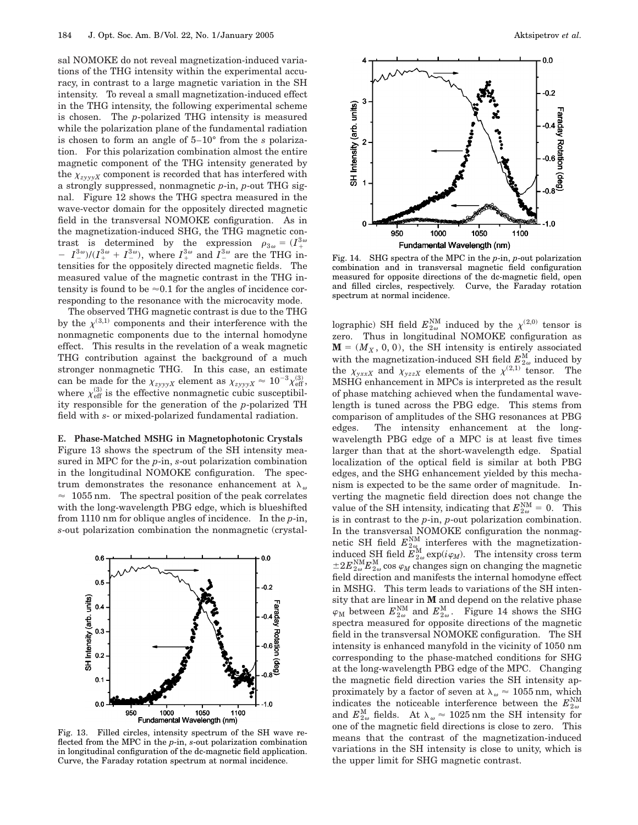sal NOMOKE do not reveal magnetization-induced variations of the THG intensity within the experimental accuracy, in contrast to a large magnetic variation in the SH intensity. To reveal a small magnetization-induced effect in the THG intensity, the following experimental scheme is chosen. The *p*-polarized THG intensity is measured while the polarization plane of the fundamental radiation is chosen to form an angle of 5–10° from the *s* polarization. For this polarization combination almost the entire magnetic component of the THG intensity generated by the  $\chi_{z\text{vvvX}}$  component is recorded that has interfered with a strongly suppressed, nonmagnetic *p*-in, *p*-out THG signal. Figure 12 shows the THG spectra measured in the wave-vector domain for the oppositely directed magnetic field in the transversal NOMOKE configuration. As in the magnetization-induced SHG, the THG magnetic contrast is determined by the expression  $\rho_{3\omega} = (I_+^{3\omega})$ -  $I^{3\omega}_{-}$  )/( $I^{3\omega}_{+}$  +  $I^{3\omega}_{-}$ ), where  $I^{3\omega}_{+}$  and  $I^{3\omega}_{-}$  are the THG intensities for the oppositely directed magnetic fields. The measured value of the magnetic contrast in the THG intensity is found to be  $\approx 0.1$  for the angles of incidence corresponding to the resonance with the microcavity mode.

The observed THG magnetic contrast is due to the THG by the  $\chi^{(3,1)}$  components and their interference with the nonmagnetic components due to the internal homodyne effect. This results in the revelation of a weak magnetic THG contribution against the background of a much stronger nonmagnetic THG. In this case, an estimate can be made for the  $\chi_{zyyyX}$  element as  $\chi_{zyyyX} \approx 10^{-3} \chi_{\rm eff}^{(3)}$ , where  $\chi_{\text{eff}}^{(3)}$  is the effective nonmagnetic cubic susceptibility responsible for the generation of the *p*-polarized TH field with *s*- or mixed-polarized fundamental radiation.

#### **E. Phase-Matched MSHG in Magnetophotonic Crystals**

Figure 13 shows the spectrum of the SH intensity measured in MPC for the *p*-in, *s*-out polarization combination in the longitudinal NOMOKE configuration. The spectrum demonstrates the resonance enhancement at  $\lambda_{\omega}$  $\approx$  1055 nm. The spectral position of the peak correlates with the long-wavelength PBG edge, which is blueshifted from 1110 nm for oblique angles of incidence. In the *p*-in, *s*-out polarization combination the nonmagnetic (crystal-



Fig. 13. Filled circles, intensity spectrum of the SH wave reflected from the MPC in the *p*-in, *s*-out polarization combination in longitudinal configuration of the dc-magnetic field application. Curve, the Faraday rotation spectrum at normal incidence.



Fig. 14. SHG spectra of the MPC in the *p*-in, *p*-out polarization combination and in transversal magnetic field configuration measured for opposite directions of the dc-magnetic field, open and filled circles, respectively. Curve, the Faraday rotation spectrum at normal incidence.

lographic) SH field  $E_{2\omega}^{\rm NM}$  induced by the  $\chi^{(2,0)}$  tensor is zero. Thus in longitudinal NOMOKE configuration as  $\mathbf{M} = (M_X, 0, 0)$ , the SH intensity is entirely associated with the magnetization-induced SH field  $E_{2\omega}^{\text{M}}$  induced by the  $\chi_{yxxX}$  and  $\chi_{yzzX}$  elements of the  $\chi^{(2,1)}$  tensor. The MSHG enhancement in MPCs is interpreted as the result of phase matching achieved when the fundamental wavelength is tuned across the PBG edge. This stems from comparison of amplitudes of the SHG resonances at PBG edges. The intensity enhancement at the longwavelength PBG edge of a MPC is at least five times larger than that at the short-wavelength edge. Spatial localization of the optical field is similar at both PBG edges, and the SHG enhancement yielded by this mechanism is expected to be the same order of magnitude. Inverting the magnetic field direction does not change the value of the SH intensity, indicating that  $E_{2\omega}^{\text{NM}} = 0$ . This is in contrast to the *p*-in, *p*-out polarization combination. In the transversal NOMOKE configuration the nonmagnetic SH field  $E_{2\omega}^{\text{NM}}$  interferes with the magnetizationinduced SH field  $E_{2\omega}^{\text{M}}$  exp( $i\varphi_M$ ). The intensity cross term  $\pm 2E_{2\omega}^{\text{NM}}E_{2\omega}^{\text{M}}$  cos  $\varphi_M$  changes sign on changing the magnetic field direction and manifests the internal homodyne effect in MSHG. This term leads to variations of the SH intensity that are linear in **M** and depend on the relative phase  $\varphi_{\text{M}}$  between  $E_{2\omega}^{\text{NM}}$  and  $E_{2\omega}^{\text{M}}$ . Figure 14 shows the SHG spectra measured for opposite directions of the magnetic field in the transversal NOMOKE configuration. The SH intensity is enhanced manyfold in the vicinity of 1050 nm corresponding to the phase-matched conditions for SHG at the long-wavelength PBG edge of the MPC. Changing the magnetic field direction varies the SH intensity approximately by a factor of seven at  $\lambda_{\omega} \approx 1055$  nm, which indicates the noticeable interference between the  $E_{2\omega}^{\text{NM}}$ and  $E_{2\omega}^{\text{M}}$  fields. At  $\lambda_{\omega} \approx 1025 \text{ nm}$  the SH intensity for one of the magnetic field directions is close to zero. This means that the contrast of the magnetization-induced variations in the SH intensity is close to unity, which is the upper limit for SHG magnetic contrast.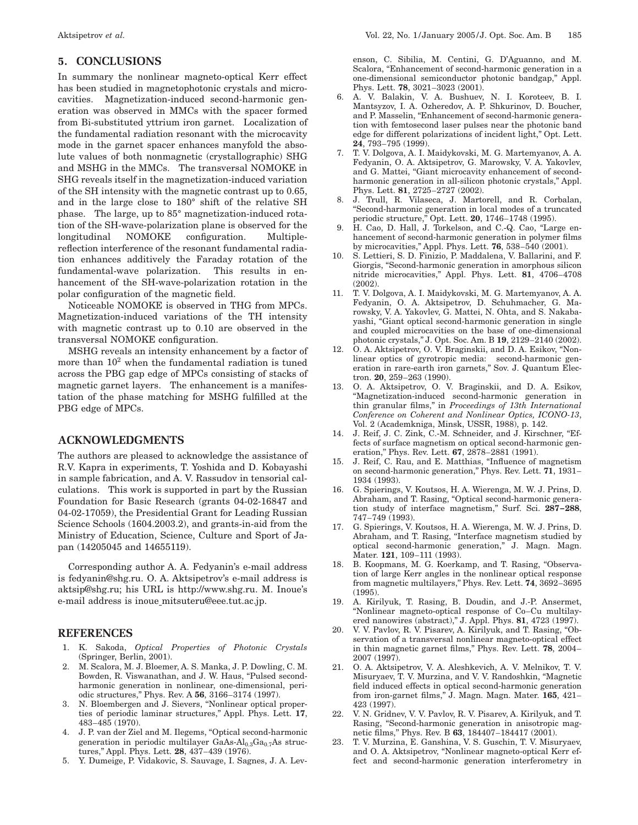## **5. CONCLUSIONS**

In summary the nonlinear magneto-optical Kerr effect has been studied in magnetophotonic crystals and microcavities. Magnetization-induced second-harmonic generation was observed in MMCs with the spacer formed from Bi-substituted yttrium iron garnet. Localization of the fundamental radiation resonant with the microcavity mode in the garnet spacer enhances manyfold the absolute values of both nonmagnetic (crystallographic) SHG and MSHG in the MMCs. The transversal NOMOKE in SHG reveals itself in the magnetization-induced variation of the SH intensity with the magnetic contrast up to 0.65, and in the large close to 180° shift of the relative SH phase. The large, up to 85° magnetization-induced rotation of the SH-wave-polarization plane is observed for the longitudinal NOMOKE configuration. Multiplereflection interference of the resonant fundamental radiation enhances additively the Faraday rotation of the fundamental-wave polarization. This results in enhancement of the SH-wave-polarization rotation in the polar configuration of the magnetic field.

Noticeable NOMOKE is observed in THG from MPCs. Magnetization-induced variations of the TH intensity with magnetic contrast up to 0.10 are observed in the transversal NOMOKE configuration.

MSHG reveals an intensity enhancement by a factor of more than  $10<sup>2</sup>$  when the fundamental radiation is tuned across the PBG gap edge of MPCs consisting of stacks of magnetic garnet layers. The enhancement is a manifestation of the phase matching for MSHG fulfilled at the PBG edge of MPCs.

### **ACKNOWLEDGMENTS**

The authors are pleased to acknowledge the assistance of R.V. Kapra in experiments, T. Yoshida and D. Kobayashi in sample fabrication, and A. V. Rassudov in tensorial calculations. This work is supported in part by the Russian Foundation for Basic Research (grants 04-02-16847 and 04-02-17059), the Presidential Grant for Leading Russian Science Schools (1604.2003.2), and grants-in-aid from the Ministry of Education, Science, Culture and Sport of Japan (14205045 and 14655119).

Corresponding author A. A. Fedyanin's e-mail address is fedyanin@shg.ru. O. A. Aktsipetrov's e-mail address is aktsip@shg.ru; his URL is http://www.shg.ru. M. Inoue's e-mail address is inoue\_mitsuteru@eee.tut.ac.jp.

## **REFERENCES**

- 1. K. Sakoda, *Optical Properties of Photonic Crystals* (Springer, Berlin, 2001).
- 2. M. Scalora, M. J. Bloemer, A. S. Manka, J. P. Dowling, C. M. Bowden, R. Viswanathan, and J. W. Haus, "Pulsed secondharmonic generation in nonlinear, one-dimensional, periodic structures,'' Phys. Rev. A **56**, 3166–3174 (1997).
- 3. N. Bloembergen and J. Sievers, ''Nonlinear optical properties of periodic laminar structures,'' Appl. Phys. Lett. **17**, 483–485 (1970).
- 4. J. P. van der Ziel and M. Ilegems, "Optical second-harmonic generation in periodic multilayer GaAs- $Al<sub>0.3</sub>Ga<sub>0.7</sub>As$  structures,'' Appl. Phys. Lett. **28**, 437–439 (1976).
- 5. Y. Dumeige, P. Vidakovic, S. Sauvage, I. Sagnes, J. A. Lev-

enson, C. Sibilia, M. Centini, G. D'Aguanno, and M. Scalora, "Enhancement of second-harmonic generation in a one-dimensional semiconductor photonic bandgap,'' Appl. Phys. Lett. **78**, 3021–3023 (2001).

- 6. A. V. Balakin, V. A. Bushuev, N. I. Koroteev, B. I. Mantsyzov, I. A. Ozheredov, A. P. Shkurinov, D. Boucher, and P. Masselin, ''Enhancement of second-harmonic generation with femtosecond laser pulses near the photonic band edge for different polarizations of incident light,'' Opt. Lett. **24**, 793–795 (1999).
- 7. T. V. Dolgova, A. I. Maidykovski, M. G. Martemyanov, A. A. Fedyanin, O. A. Aktsipetrov, G. Marowsky, V. A. Yakovlev, and G. Mattei, "Giant microcavity enhancement of secondharmonic generation in all-silicon photonic crystals,'' Appl. Phys. Lett. **81**, 2725–2727 (2002).
- 8. J. Trull, R. Vilaseca, J. Martorell, and R. Corbalan, ''Second-harmonic generation in local modes of a truncated periodic structure,'' Opt. Lett. **20**, 1746–1748 (1995).
- 9. H. Cao, D. Hall, J. Torkelson, and C.-Q. Cao, "Large enhancement of second-harmonic generation in polymer films by microcavities,'' Appl. Phys. Lett. **76**, 538–540 (2001).
- 10. S. Lettieri, S. D. Finizio, P. Maddalena, V. Ballarini, and F. Giorgis, ''Second-harmonic generation in amorphous silicon nitride microcavities,'' Appl. Phys. Lett. **81**, 4706–4708 (2002).
- 11. T. V. Dolgova, A. I. Maidykovski, M. G. Martemyanov, A. A. Fedyanin, O. A. Aktsipetrov, D. Schuhmacher, G. Marowsky, V. A. Yakovlev, G. Mattei, N. Ohta, and S. Nakabayashi, ''Giant optical second-harmonic generation in single and coupled microcavities on the base of one-dimensional photonic crystals,'' J. Opt. Soc. Am. B **19**, 2129–2140 (2002).
- 12. O. A. Aktsipetrov, O. V. Braginskii, and D. A. Esikov, ''Nonlinear optics of gyrotropic media: second-harmonic generation in rare-earth iron garnets,'' Sov. J. Quantum Electron. **20**, 259–263 (1990).
- 13. O. A. Aktsipetrov, O. V. Braginskii, and D. A. Esikov, ''Magnetization-induced second-harmonic generation in thin granular films,'' in *Proceedings of 13th International Conference on Coherent and Nonlinear Optics, ICONO-13*, Vol. 2 (Academkniga, Minsk, USSR, 1988), p. 142.
- 14. J. Reif, J. C. Zink, C.-M. Schneider, and J. Kirschner, "Effects of surface magnetism on optical second-harmonic generation,'' Phys. Rev. Lett. **67**, 2878–2881 (1991).
- 15. J. Reif, C. Rau, and E. Matthias, "Influence of magnetism on second-harmonic generation,'' Phys. Rev. Lett. **71**, 1931– 1934 (1993).
- 16. G. Spierings, V. Koutsos, H. A. Wierenga, M. W. J. Prins, D. Abraham, and T. Rasing, "Optical second-harmonic generation study of interface magnetism,'' Surf. Sci. **287–288**, 747–749 (1993).
- 17. G. Spierings, V. Koutsos, H. A. Wierenga, M. W. J. Prins, D. Abraham, and T. Rasing, ''Interface magnetism studied by optical second-harmonic generation,'' J. Magn. Magn. Mater. **121**, 109–111 (1993).
- 18. B. Koopmans, M. G. Koerkamp, and T. Rasing, "Observation of large Kerr angles in the nonlinear optical response from magnetic multilayers,'' Phys. Rev. Lett. **74**, 3692–3695 (1995).
- 19. A. Kirilyuk, T. Rasing, B. Doudin, and J.-P. Ansermet, ''Nonlinear magneto-optical response of Co–Cu multilayered nanowires (abstract),'' J. Appl. Phys. **81**, 4723 (1997).
- 20. V. V. Pavlov, R. V. Pisarev, A. Kirilyuk, and T. Rasing, ''Observation of a transversal nonlinear magneto-optical effect in thin magnetic garnet films,'' Phys. Rev. Lett. **78**, 2004– 2007 (1997).
- 21. O. A. Aktsipetrov, V. A. Aleshkevich, A. V. Melnikov, T. V. Misuryaev, T. V. Murzina, and V. V. Randoshkin, ''Magnetic field induced effects in optical second-harmonic generation from iron-garnet films,'' J. Magn. Magn. Mater. **165**, 421– 423 (1997).
- 22. V. N. Gridnev, V. V. Pavlov, R. V. Pisarev, A. Kirilyuk, and T. Rasing, ''Second-harmonic generation in anisotropic magnetic films,'' Phys. Rev. B **63**, 184407–184417 (2001).
- 23. T. V. Murzina, E. Ganshina, V. S. Guschin, T. V. Misuryaev, and O. A. Aktsipetrov, ''Nonlinear magneto-optical Kerr effect and second-harmonic generation interferometry in